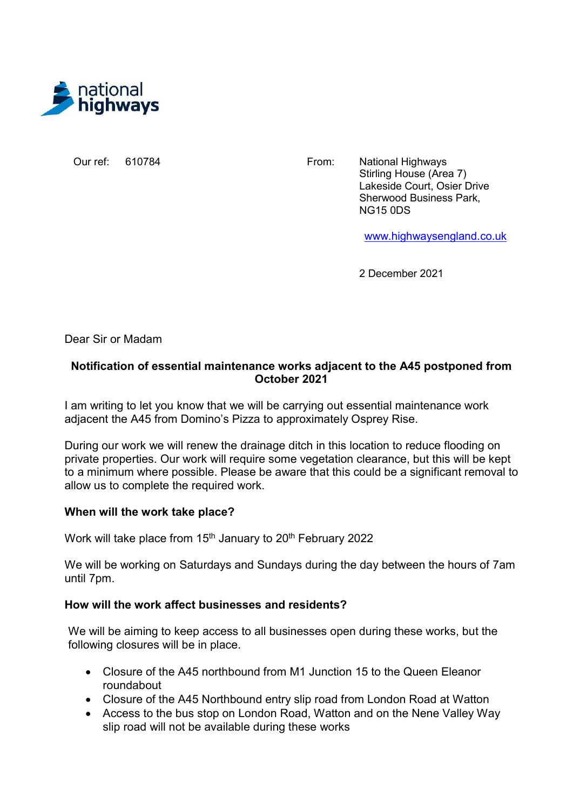

Our ref: 610784

From: National Highways Stirling House (Area 7) Lakeside Court, Osier Drive Sherwood Business Park, NG15 0DS

www.highwaysengland.co.uk

2 December 2021

Dear Sir or Madam

## Notification of essential maintenance works adjacent to the A45 postponed from October 2021

I am writing to let you know that we will be carrying out essential maintenance work adjacent the A45 from Domino's Pizza to approximately Osprey Rise.

During our work we will renew the drainage ditch in this location to reduce flooding on private properties. Our work will require some vegetation clearance, but this will be kept to a minimum where possible. Please be aware that this could be a significant removal to allow us to complete the required work.

## When will the work take place?

Work will take place from 15<sup>th</sup> January to 20<sup>th</sup> February 2022

We will be working on Saturdays and Sundays during the day between the hours of 7am until 7pm.

## How will the work affect businesses and residents?

We will be aiming to keep access to all businesses open during these works, but the following closures will be in place.

- Closure of the A45 northbound from M1 Junction 15 to the Queen Eleanor roundabout
- Closure of the A45 Northbound entry slip road from London Road at Watton
- Access to the bus stop on London Road, Watton and on the Nene Valley Way slip road will not be available during these works